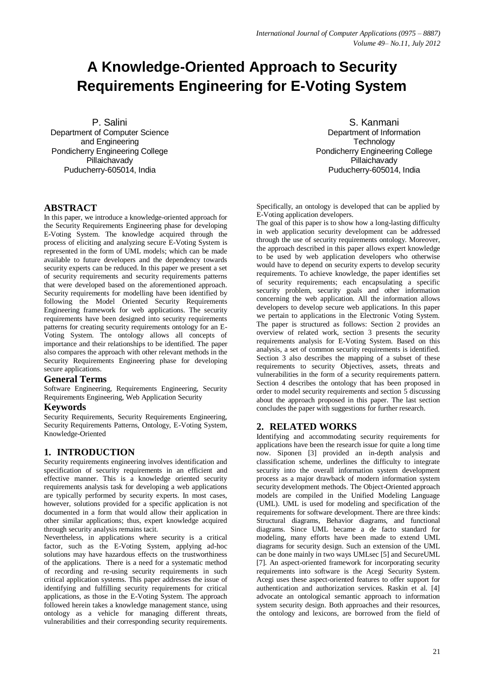# **A Knowledge-Oriented Approach to Security Requirements Engineering for E-Voting System**

P. Salini Department of Computer Science and Engineering Pondicherry Engineering College Pillaichavady Puducherry-605014, India

# **ABSTRACT**

In this paper, we introduce a knowledge-oriented approach for the Security Requirements Engineering phase for developing E-Voting System. The knowledge acquired through the process of eliciting and analyzing secure E-Voting System is represented in the form of UML models; which can be made available to future developers and the dependency towards security experts can be reduced. In this paper we present a set of security requirements and security requirements patterns that were developed based on the aforementioned approach. Security requirements for modelling have been identified by following the Model Oriented Security Requirements Engineering framework for web applications. The security requirements have been designed into security requirements patterns for creating security requirements ontology for an E-Voting System. The ontology allows all concepts of importance and their relationships to be identified. The paper also compares the approach with other relevant methods in the Security Requirements Engineering phase for developing secure applications.

## **General Terms**

Software Engineering, Requirements Engineering, Security Requirements Engineering, Web Application Security

## **Keywords**

Security Requirements, Security Requirements Engineering, Security Requirements Patterns, Ontology, E-Voting System, Knowledge-Oriented

## **1. INTRODUCTION**

Security requirements engineering involves identification and specification of security requirements in an efficient and effective manner. This is a knowledge oriented security requirements analysis task for developing a web applications are typically performed by security experts. In most cases, however, solutions provided for a specific application is not documented in a form that would allow their application in other similar applications; thus, expert knowledge acquired through security analysis remains tacit.

Nevertheless, in applications where security is a critical factor, such as the E-Voting System, applying ad-hoc solutions may have hazardous effects on the trustworthiness of the applications. There is a need for a systematic method of recording and re-using security requirements in such critical application systems. This paper addresses the issue of identifying and fulfilling security requirements for critical applications, as those in the E-Voting System. The approach followed herein takes a knowledge management stance, using ontology as a vehicle for managing different threats, vulnerabilities and their corresponding security requirements.

S. Kanmani Department of Information **Technology** Pondicherry Engineering College Pillaichavady Puducherry-605014, India

Specifically, an ontology is developed that can be applied by E-Voting application developers.

The goal of this paper is to show how a long-lasting difficulty in web application security development can be addressed through the use of security requirements ontology. Moreover, the approach described in this paper allows expert knowledge to be used by web application developers who otherwise would have to depend on security experts to develop security requirements. To achieve knowledge, the paper identifies set of security requirements; each encapsulating a specific security problem, security goals and other information concerning the web application. All the information allows developers to develop secure web applications. In this paper we pertain to applications in the Electronic Voting System. The paper is structured as follows: Section 2 provides an overview of related work, section 3 presents the security requirements analysis for E-Voting System. Based on this analysis, a set of common security requirements is identified. Section 3 also describes the mapping of a subset of these requirements to security Objectives, assets, threats and vulnerabilities in the form of a security requirements pattern. Section 4 describes the ontology that has been proposed in order to model security requirements and section 5 discussing about the approach proposed in this paper. The last section concludes the paper with suggestions for further research.

## **2. RELATED WORKS**

Identifying and accommodating security requirements for applications have been the research issue for quite a long time now. Siponen [3] provided an in-depth analysis and classification scheme, underlines the difficulty to integrate security into the overall information system development process as a major drawback of modern information system security development methods. The Object-Oriented approach models are compiled in the Unified Modeling Language (UML). UML is used for modeling and specification of the requirements for software development. There are three kinds: Structural diagrams, Behavior diagrams, and functional diagrams. Since UML became a de facto standard for modeling, many efforts have been made to extend UML diagrams for security design. Such an extension of the UML can be done mainly in two ways UMLsec [5] and SecureUML [7]. An aspect-oriented framework for incorporating security requirements into software is the Acegi Security System. Acegi uses these aspect-oriented features to offer support for authentication and authorization services. Raskin et al. [4] advocate an ontological semantic approach to information system security design. Both approaches and their resources, the ontology and lexicons, are borrowed from the field of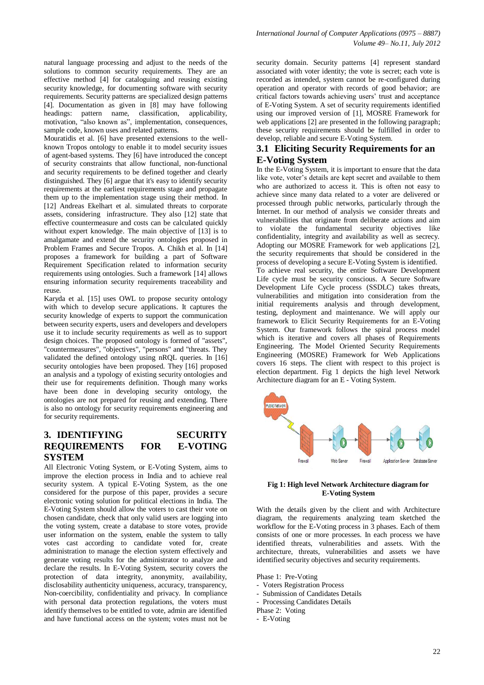solutions to common security requirements. They are an effective method [4] for cataloguing and reusing existing security knowledge, for documenting software with security requirements. Security patterns are specialized design patterns [4]. Documentation as given in [8] may have following headings: pattern name, classification, applicability, motivation, "also known as", implementation, consequences, sample code, known uses and related patterns.

Mouratidis et al. [6] have presented extensions to the wellknown Tropos ontology to enable it to model security issues of agent-based systems. They [6] have introduced the concept of security constraints that allow functional, non-functional and security requirements to be defined together and clearly distinguished. They [6] argue that it's easy to identify security requirements at the earliest requirements stage and propagate them up to the implementation stage using their method. In [12] Andreas Ekelhart et al. simulated threats to corporate assets, considering infrastructure. They also [12] state that effective countermeasure and costs can be calculated quickly without expert knowledge. The main objective of [13] is to amalgamate and extend the security ontologies proposed in Problem Frames and Secure Tropos. A. Chikh et al. In [14] proposes a framework for building a part of Software Requirement Specification related to information security requirements using ontologies. Such a framework [14] allows ensuring information security requirements traceability and reuse.

Karyda et al. [15] uses OWL to propose security ontology with which to develop secure applications. It captures the security knowledge of experts to support the communication between security experts, users and developers and developers use it to include security requirements as well as to support design choices. The proposed ontology is formed of "assets", "countermeasures", "objectives", "persons" and "threats. They validated the defined ontology using nRQL queries. In [16] security ontologies have been proposed. They [16] proposed an analysis and a typology of existing security ontologies and their use for requirements definition. Though many works have been done in developing security ontology, the ontologies are not prepared for reusing and extending. There is also no ontology for security requirements engineering and for security requirements.

# **3. IDENTIFYING SECURITY REQUIREMENTS FOR E-VOTING SYSTEM**

All Electronic Voting System, or E-Voting System, aims to improve the election process in India and to achieve real security system. A typical E-Voting System, as the one considered for the purpose of this paper, provides a secure electronic voting solution for political elections in India. The E-Voting System should allow the voters to cast their vote on chosen candidate, check that only valid users are logging into the voting system, create a database to store votes, provide user information on the system, enable the system to tally votes cast according to candidate voted for, create administration to manage the election system effectively and generate voting results for the administrator to analyze and declare the results. In E-Voting System, security covers the protection of data integrity, anonymity, availability, disclosability authenticity uniqueness, accuracy, transparency, Non-coercibility, confidentiality and privacy. In compliance with personal data protection regulations, the voters must identify themselves to be entitled to vote, admin are identified and have functional access on the system; votes must not be

natural language processing and adjust to the needs of the security domain. Security patterns [4] represent standard associated with voter identity; the vote is secret; each vote is recorded as intended, system cannot be re-configured during operation and operator with records of good behavior; are critical factors towards achieving users' trust and acceptance of E-Voting System. A set of security requirements identified using our improved version of [1], MOSRE Framework for web applications [2] are presented in the following paragraph; these security requirements should be fulfilled in order to develop, reliable and secure E-Voting System.

# **3.1 Eliciting Security Requirements for an E-Voting System**

In the E-Voting System, it is important to ensure that the data like vote, voter's details are kept secret and available to them who are authorized to access it. This is often not easy to achieve since many data related to a voter are delivered or processed through public networks, particularly through the Internet. In our method of analysis we consider threats and vulnerabilities that originate from deliberate actions and aim to violate the fundamental security objectives like confidentiality, integrity and availability as well as secrecy. Adopting our MOSRE Framework for web applications [2], the security requirements that should be considered in the process of developing a secure E-Voting System is identified. To achieve real security, the entire Software Development Life cycle must be security conscious. A Secure Software Development Life Cycle process (SSDLC) takes threats, vulnerabilities and mitigation into consideration from the initial requirements analysis and through development, testing, deployment and maintenance. We will apply our framework to Elicit Security Requirements for an E-Voting System. Our framework follows the spiral process model which is iterative and covers all phases of Requirements Engineering. The Model Oriented Security Requirements Engineering (MOSRE) Framework for Web Applications covers 16 steps. The client with respect to this project is election department. Fig 1 depicts the high level Network Architecture diagram for an E - Voting System.



#### **Fig 1: High level Network Architecture diagram for E-Voting System**

With the details given by the client and with Architecture diagram, the requirements analyzing team sketched the workflow for the E-Voting process in 3 phases. Each of them consists of one or more processes. In each process we have identified threats, vulnerabilities and assets. With the architecture, threats, vulnerabilities and assets we have identified security objectives and security requirements.

Phase 1: Pre-Voting

- Voters Registration Process
- Submission of Candidates Details
- Processing Candidates Details
- Phase 2: Voting
- E-Voting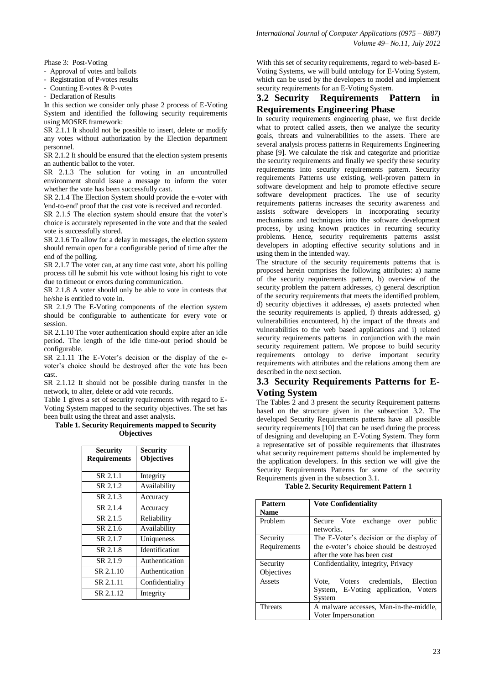Phase 3: Post-Voting

- Approval of votes and ballots

- Registration of P-votes results

- Counting E-votes & P-votes
- Declaration of Results

In this section we consider only phase 2 process of E-Voting System and identified the following security requirements using MOSRE framework:

SR 2.1.1 It should not be possible to insert, delete or modify any votes without authorization by the Election department personnel.

SR 2.1.2 It should be ensured that the election system presents an authentic ballot to the voter.

SR 2.1.3 The solution for voting in an uncontrolled environment should issue a message to inform the voter whether the vote has been successfully cast.

SR 2.1.4 The Election System should provide the e-voter with 'end-to-end' proof that the cast vote is received and recorded.

SR 2.1.5 The election system should ensure that the voter's choice is accurately represented in the vote and that the sealed vote is successfully stored.

SR 2.1.6 To allow for a delay in messages, the election system should remain open for a configurable period of time after the end of the polling.

SR 2.1.7 The voter can, at any time cast vote, abort his polling process till he submit his vote without losing his right to vote due to timeout or errors during communication.

SR 2.1.8 A voter should only be able to vote in contests that he/she is entitled to vote in.

SR 2.1.9 The E-Voting components of the election system should be configurable to authenticate for every vote or session.

SR 2.1.10 The voter authentication should expire after an idle period. The length of the idle time-out period should be configurable.

SR 2.1.11 The E-Voter's decision or the display of the evoter's choice should be destroyed after the vote has been cast.

SR 2.1.12 It should not be possible during transfer in the network, to alter, delete or add vote records.

Table 1 gives a set of security requirements with regard to E-Voting System mapped to the security objectives. The set has been built using the threat and asset analysis.

#### **Table 1. Security Requirements mapped to Security Objectives**

| <b>Security</b><br><b>Requirements</b> | <b>Security</b><br><b>Objectives</b> |
|----------------------------------------|--------------------------------------|
|                                        |                                      |
| SR 2.1.1                               | Integrity                            |
| SR 2.1.2                               | Availability                         |
| SR 2.1.3                               | Accuracy                             |
| SR 2.1.4                               | Accuracy                             |
| SR 2.1.5                               | Reliability                          |
| SR 2.1.6                               | Availability                         |
| SR 2.1.7                               | Uniqueness                           |
| SR 2.1.8                               | Identification                       |
| SR 2.1.9                               | Authentication                       |
| SR 2.1.10                              | Authentication                       |
| SR 2.1.11                              | Confidentiality                      |
| SR 2.1.12                              | Integrity                            |

With this set of security requirements, regard to web-based E-Voting Systems, we will build ontology for E-Voting System, which can be used by the developers to model and implement security requirements for an E-Voting System.

# **3.2 Security Requirements Pattern in Requirements Engineering Phase**

In security requirements engineering phase, we first decide what to protect called assets, then we analyze the security goals, threats and vulnerabilities to the assets. There are several analysis process patterns in Requirements Engineering phase [9]. We calculate the risk and categorize and prioritize the security requirements and finally we specify these security requirements into security requirements pattern. Security requirements Patterns use existing, well-proven pattern in software development and help to promote effective secure software development practices. The use of security requirements patterns increases the security awareness and assists software developers in incorporating security mechanisms and techniques into the software development process, by using known practices in recurring security problems. Hence, security requirements patterns assist developers in adopting effective security solutions and in using them in the intended way.

The structure of the security requirements patterns that is proposed herein comprises the following attributes: a) name of the security requirements pattern, b) overview of the security problem the pattern addresses, c) general description of the security requirements that meets the identified problem, d) security objectives it addresses, e) assets protected when the security requirements is applied, f) threats addressed, g) vulnerabilities encountered, h) the impact of the threats and vulnerabilities to the web based applications and i) related security requirements patterns in conjunction with the main security requirement pattern. We propose to build security requirements ontology to derive important security requirements with attributes and the relations among them are described in the next section.

# **3.3 Security Requirements Patterns for E-Voting System**

The Tables 2 and 3 present the security Requirement patterns based on the structure given in the subsection 3.2. The developed Security Requirements patterns have all possible security requirements [10] that can be used during the process of designing and developing an E-Voting System. They form a representative set of possible requirements that illustrates what security requirement patterns should be implemented by the application developers. In this section we will give the Security Requirements Patterns for some of the security Requirements given in the subsection 3.1.

**Table 2. Security Requirement Pattern 1**

| <b>Pattern</b> | <b>Vote Confidentiality</b>              |
|----------------|------------------------------------------|
| <b>Name</b>    |                                          |
| Problem        | Secure Vote exchange over<br>public      |
|                | networks.                                |
| Security       | The E-Voter's decision or the display of |
| Requirements   | the e-voter's choice should be destroyed |
|                | after the vote has been cast             |
| Security       | Confidentiality, Integrity, Privacy      |
| Objectives     |                                          |
| Assets         | Vote, Voters credentials,<br>Election    |
|                | System, E-Voting application, Voters     |
|                | System                                   |
| <b>Threats</b> | A malware accesses, Man-in-the-middle,   |
|                | Voter Impersonation                      |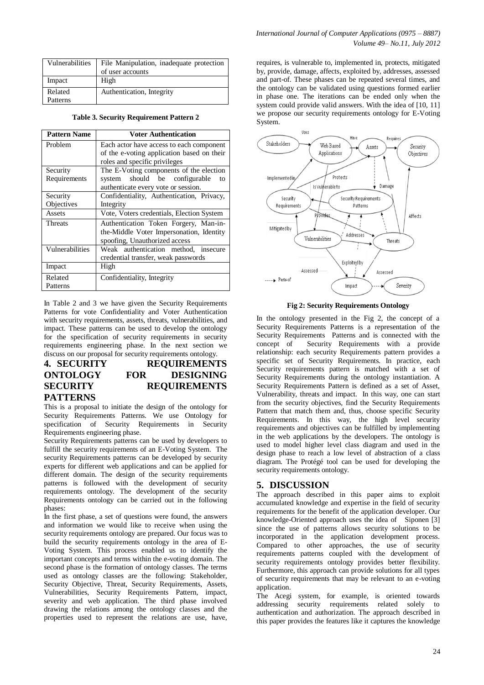| Vulnerabilities | File Manipulation, inadequate protection |
|-----------------|------------------------------------------|
|                 | of user accounts                         |
| Impact          | High                                     |
| Related         | Authentication, Integrity                |
| Patterns        |                                          |

**Table 3. Security Requirement Pattern 2**

| <b>Pattern Name</b> | <b>Voter Authentication</b>                |
|---------------------|--------------------------------------------|
| Problem             | Each actor have access to each component   |
|                     | of the e-voting application based on their |
|                     | roles and specific privileges              |
| Security            | The E-Voting components of the election    |
| Requirements        | system should be configurable<br>to        |
|                     | authenticate every vote or session.        |
| Security            | Confidentiality, Authentication, Privacy,  |
| Objectives          | Integrity                                  |
| Assets              | Vote, Voters credentials, Election System  |
| <b>Threats</b>      | Authentication Token Forgery, Man-in-      |
|                     | the-Middle Voter Impersonation, Identity   |
|                     | spoofing, Unauthorized access              |
| Vulnerabilities     | Weak authentication method, insecure       |
|                     | credential transfer, weak passwords        |
| Impact              | High                                       |
| Related             | Confidentiality, Integrity                 |
| Patterns            |                                            |

In Table 2 and 3 we have given the Security Requirements Patterns for vote Confidentiality and Voter Authentication with security requirements, assets, threats, vulnerabilities, and impact. These patterns can be used to develop the ontology for the specification of security requirements in security requirements engineering phase. In the next section we discuss on our proposal for security requirements ontology.

# **4. SECURITY REQUIREMENTS ONTOLOGY FOR DESIGNING SECURITY REQUIREMENTS PATTERNS**

This is a proposal to initiate the design of the ontology for Security Requirements Patterns. We use Ontology for specification of Security Requirements in Security Requirements engineering phase.

Security Requirements patterns can be used by developers to fulfill the security requirements of an E-Voting System. The security Requirements patterns can be developed by security experts for different web applications and can be applied for different domain. The design of the security requirements patterns is followed with the development of security requirements ontology. The development of the security Requirements ontology can be carried out in the following phases:

In the first phase, a set of questions were found, the answers and information we would like to receive when using the security requirements ontology are prepared. Our focus was to build the security requirements ontology in the area of E-Voting System. This process enabled us to identify the important concepts and terms within the e-voting domain. The second phase is the formation of ontology classes. The terms used as ontology classes are the following: Stakeholder, Security Objective, Threat, Security Requirements, Assets, Vulnerabilities, Security Requirements Pattern, impact, severity and web application. The third phase involved drawing the relations among the ontology classes and the properties used to represent the relations are use, have,

requires, is vulnerable to, implemented in, protects, mitigated by, provide, damage, affects, exploited by, addresses, assessed and part-of. These phases can be repeated several times, and the ontology can be validated using questions formed earlier in phase one. The iterations can be ended only when the system could provide valid answers. With the idea of [10, 11] we propose our security requirements ontology for E-Voting System.



**Fig 2: Security Requirements Ontology**

In the ontology presented in the Fig 2, the concept of a Security Requirements Patterns is a representation of the Security Requirements Patterns and is connected with the concept of Security Requirements with a provide relationship: each security Requirements pattern provides a specific set of Security Requirements. In practice, each Security requirements pattern is matched with a set of Security Requirements during the ontology instantiation. A Security Requirements Pattern is defined as a set of Asset, Vulnerability, threats and impact. In this way, one can start from the security objectives, find the Security Requirements Pattern that match them and, thus, choose specific Security Requirements. In this way, the high level security requirements and objectives can be fulfilled by implementing in the web applications by the developers. The ontology is used to model higher level class diagram and used in the design phase to reach a low level of abstraction of a class diagram. The Protégé tool can be used for developing the security requirements ontology.

## **5. DISCUSSION**

The approach described in this paper aims to exploit accumulated knowledge and expertise in the field of security requirements for the benefit of the application developer. Our knowledge-Oriented approach uses the idea of Siponen [3] since the use of patterns allows security solutions to be incorporated in the application development process. Compared to other approaches, the use of security requirements patterns coupled with the development of security requirements ontology provides better flexibility. Furthermore, this approach can provide solutions for all types of security requirements that may be relevant to an e-voting application.

The Acegi system, for example, is oriented towards addressing security requirements related solely to authentication and authorization. The approach described in this paper provides the features like it captures the knowledge